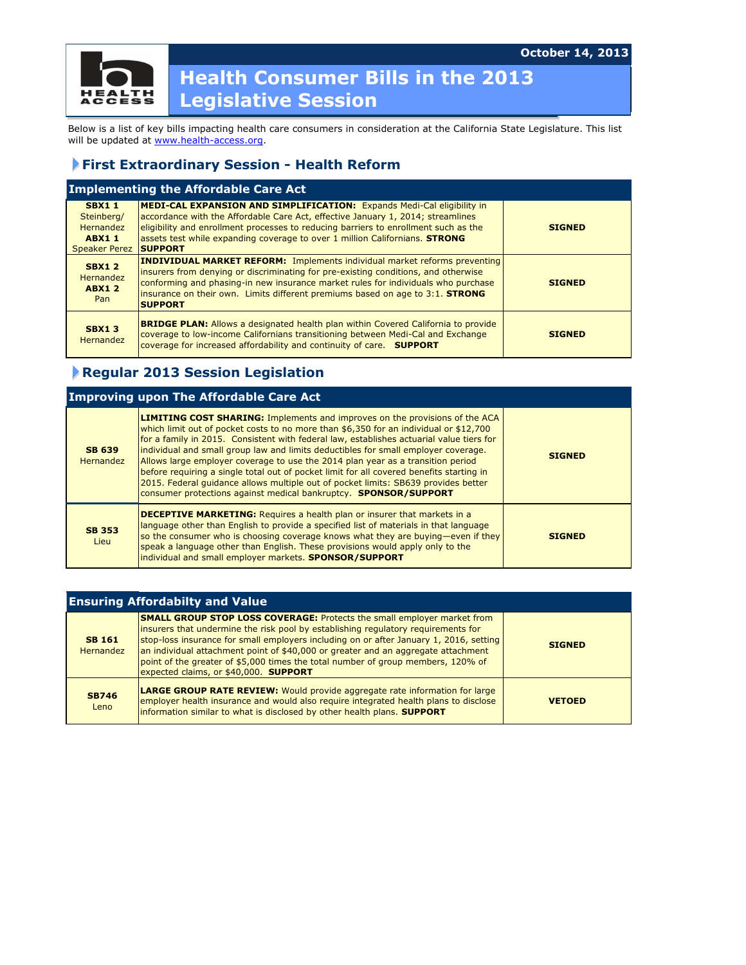

## **Health Consumer Bills in the 2013 Legislative Session**

Below is a list of key bills impacting health care consumers in consideration at the California State Legislature. This list will be updated at www.health-access.org.

## **First Extraordinary Session - Health Reform**

| <b>Implementing the Affordable Care Act</b>                                     |                                                                                                                                                                                                                                                                                                                                                                |               |  |
|---------------------------------------------------------------------------------|----------------------------------------------------------------------------------------------------------------------------------------------------------------------------------------------------------------------------------------------------------------------------------------------------------------------------------------------------------------|---------------|--|
| <b>SBX11</b><br>Steinberg/<br>Hernandez<br><b>ABX11</b><br><b>Speaker Perez</b> | <b>MEDI-CAL EXPANSION AND SIMPLIFICATION:</b> Expands Medi-Cal eligibility in<br>accordance with the Affordable Care Act, effective January 1, 2014; streamlines<br>eligibility and enrollment processes to reducing barriers to enrollment such as the<br>assets test while expanding coverage to over 1 million Californians. STRONG<br><b>ISUPPORT</b>      | <b>SIGNED</b> |  |
| <b>SBX12</b><br><b>Hernandez</b><br><b>ABX12</b><br>Pan                         | <b>INDIVIDUAL MARKET REFORM:</b> Implements individual market reforms preventing<br>insurers from denying or discriminating for pre-existing conditions, and otherwise<br>conforming and phasing-in new insurance market rules for individuals who purchase<br>insurance on their own. Limits different premiums based on age to 3:1. STRONG<br><b>SUPPORT</b> | <b>STGNED</b> |  |
| <b>SBX13</b><br><b>Hernandez</b>                                                | <b>BRIDGE PLAN:</b> Allows a designated health plan within Covered California to provide<br>coverage to low-income Californians transitioning between Medi-Cal and Exchange<br>coverage for increased affordability and continuity of care. SUPPORT                                                                                                            | <b>SIGNED</b> |  |

## **Regular 2013 Session Legislation**

| <b>Improving upon The Affordable Care Act</b> |                                                                                                                                                                                                                                                                                                                                                                                                                                                                                                                                                                                                                                                                                                        |               |  |
|-----------------------------------------------|--------------------------------------------------------------------------------------------------------------------------------------------------------------------------------------------------------------------------------------------------------------------------------------------------------------------------------------------------------------------------------------------------------------------------------------------------------------------------------------------------------------------------------------------------------------------------------------------------------------------------------------------------------------------------------------------------------|---------------|--|
| <b>SB 639</b><br>Hernandez                    | <b>LIMITING COST SHARING: Implements and improves on the provisions of the ACA</b><br>which limit out of pocket costs to no more than \$6,350 for an individual or \$12,700<br>for a family in 2015. Consistent with federal law, establishes actuarial value tiers for<br>individual and small group law and limits deductibles for small employer coverage.<br>Allows large employer coverage to use the 2014 plan year as a transition period<br>before requiring a single total out of pocket limit for all covered benefits starting in<br>2015. Federal guidance allows multiple out of pocket limits: SB639 provides better<br>consumer protections against medical bankruptcy. SPONSOR/SUPPORT | <b>SIGNED</b> |  |
| <b>SB 353</b><br>Lieu                         | <b>DECEPTIVE MARKETING:</b> Requires a health plan or insurer that markets in a<br>language other than English to provide a specified list of materials in that language<br>so the consumer who is choosing coverage knows what they are buying—even if they<br>speak a language other than English. These provisions would apply only to the<br>individual and small employer markets. <b>SPONSOR/SUPPORT</b>                                                                                                                                                                                                                                                                                         | <b>SIGNED</b> |  |

| <b>Ensuring Affordabilty and Value</b> |                                                                                                                                                                                                                                                                                                                                                                                                                                                                                 |               |  |
|----------------------------------------|---------------------------------------------------------------------------------------------------------------------------------------------------------------------------------------------------------------------------------------------------------------------------------------------------------------------------------------------------------------------------------------------------------------------------------------------------------------------------------|---------------|--|
| <b>SB 161</b><br><b>Hernandez</b>      | <b>SMALL GROUP STOP LOSS COVERAGE:</b> Protects the small employer market from<br>insurers that undermine the risk pool by establishing regulatory requirements for<br>stop-loss insurance for small employers including on or after January 1, 2016, setting<br>an individual attachment point of \$40,000 or greater and an aggregate attachment<br>point of the greater of \$5,000 times the total number of group members, 120% of<br>expected claims, or \$40,000. SUPPORT | <b>STGNED</b> |  |
| <b>SB746</b><br>Leno                   | <b>LARGE GROUP RATE REVIEW:</b> Would provide aggregate rate information for large<br>employer health insurance and would also require integrated health plans to disclose<br>information similar to what is disclosed by other health plans. <b>SUPPORT</b>                                                                                                                                                                                                                    | <b>VETOED</b> |  |